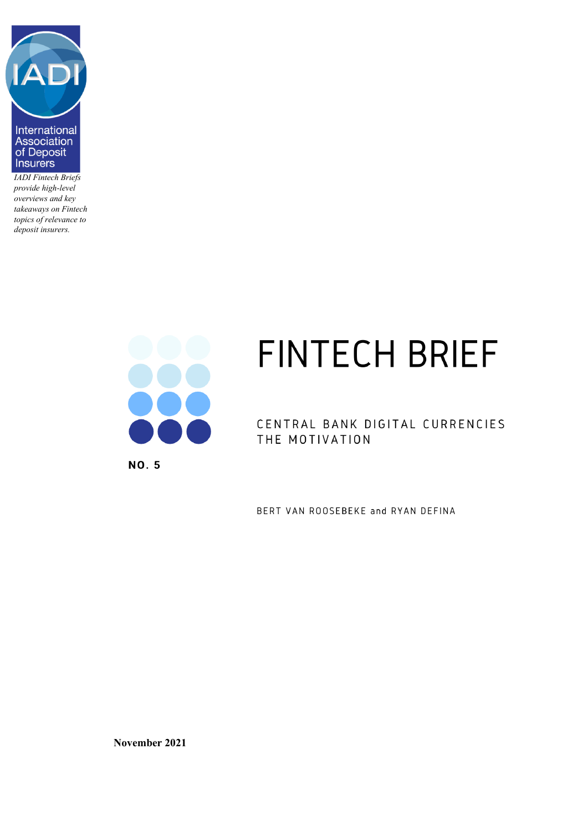

*IADI Fintech Briefs provide high-level overviews and key takeaways on Fintech topics of relevance to deposit insurers.*



**NO. 5** 

# **FINTECH BRIEF**

CENTRAL BANK DIGITAL CURRENCIES THE MOTIVATION

BERT VAN ROOSEBEKE and RYAN DEFINA

**November 2021**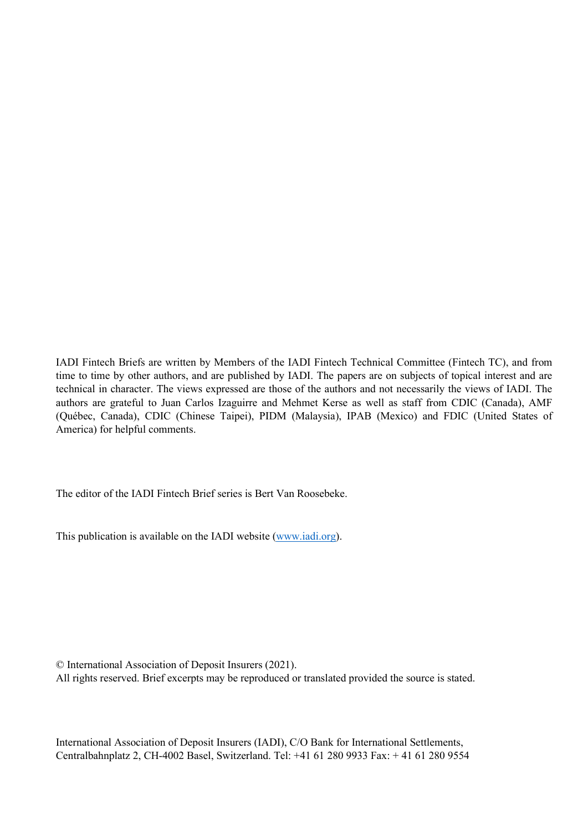IADI Fintech Briefs are written by Members of the IADI Fintech Technical Committee (Fintech TC), and from time to time by other authors, and are published by IADI. The papers are on subjects of topical interest and are technical in character. The views expressed are those of the authors and not necessarily the views of IADI. The authors are grateful to Juan Carlos Izaguirre and Mehmet Kerse as well as staff from CDIC (Canada), AMF (Québec, Canada), CDIC (Chinese Taipei), PIDM (Malaysia), IPAB (Mexico) and FDIC (United States of America) for helpful comments.

The editor of the IADI Fintech Brief series is Bert Van Roosebeke.

This publication is available on the IADI website [\(www.iadi.org\)](http://www.iadi.org/).

© International Association of Deposit Insurers (2021).

All rights reserved. Brief excerpts may be reproduced or translated provided the source is stated.

International Association of Deposit Insurers (IADI), C/O Bank for International Settlements, Centralbahnplatz 2, CH-4002 Basel, Switzerland. Tel: +41 61 280 9933 Fax: + 41 61 280 9554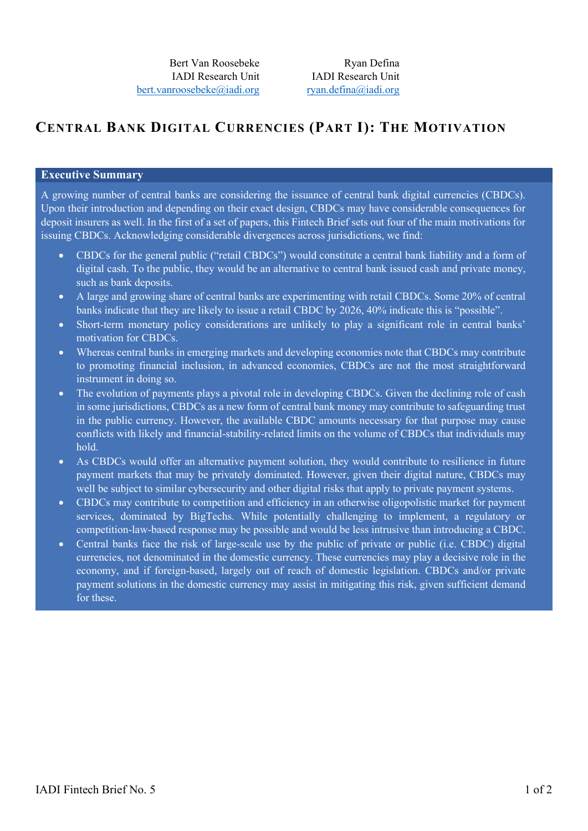## **CENTRAL BANK DIGITAL CURRENCIES (PART I): THE MOTIVATION**

## **Executive Summary**

A growing number of central banks are considering the issuance of central bank digital currencies (CBDCs). Upon their introduction and depending on their exact design, CBDCs may have considerable consequences for deposit insurers as well. In the first of a set of papers, this Fintech Brief sets out four of the main motivations for issuing CBDCs. Acknowledging considerable divergences across jurisdictions, we find:

- CBDCs for the general public ("retail CBDCs") would constitute a central bank liability and a form of digital cash. To the public, they would be an alternative to central bank issued cash and private money, such as bank deposits.
- A large and growing share of central banks are experimenting with retail CBDCs. Some 20% of central banks indicate that they are likely to issue a retail CBDC by 2026, 40% indicate this is "possible".
- Short-term monetary policy considerations are unlikely to play a significant role in central banks' motivation for CBDCs.
- Whereas central banks in emerging markets and developing economies note that CBDCs may contribute to promoting financial inclusion, in advanced economies, CBDCs are not the most straightforward instrument in doing so.
- The evolution of payments plays a pivotal role in developing CBDCs. Given the declining role of cash in some jurisdictions, CBDCs as a new form of central bank money may contribute to safeguarding trust in the public currency. However, the available CBDC amounts necessary for that purpose may cause conflicts with likely and financial-stability-related limits on the volume of CBDCs that individuals may hold.
- As CBDCs would offer an alternative payment solution, they would contribute to resilience in future payment markets that may be privately dominated. However, given their digital nature, CBDCs may well be subject to similar cybersecurity and other digital risks that apply to private payment systems.
- CBDCs may contribute to competition and efficiency in an otherwise oligopolistic market for payment services, dominated by BigTechs. While potentially challenging to implement, a regulatory or competition-law-based response may be possible and would be less intrusive than introducing a CBDC.
- Central banks face the risk of large-scale use by the public of private or public (i.e. CBDC) digital currencies, not denominated in the domestic currency. These currencies may play a decisive role in the economy, and if foreign-based, largely out of reach of domestic legislation. CBDCs and/or private payment solutions in the domestic currency may assist in mitigating this risk, given sufficient demand for these.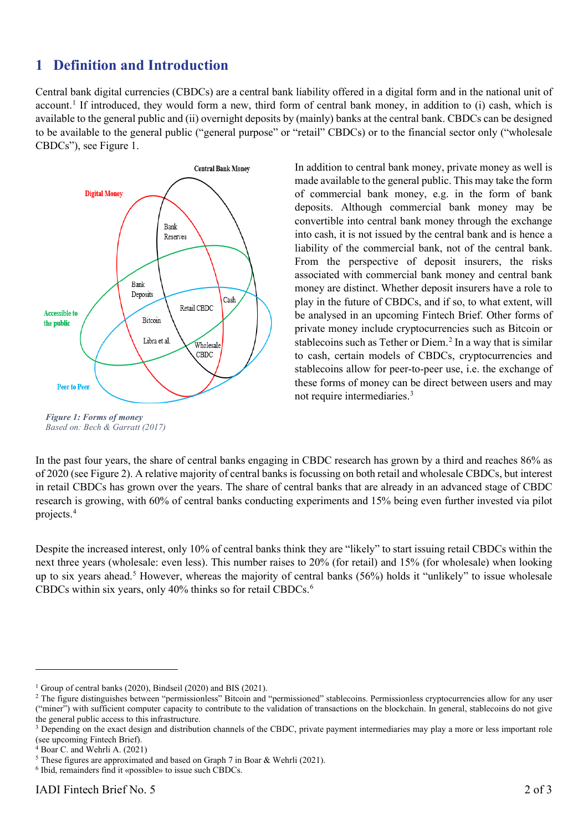## **1 Definition and Introduction**

Central bank digital currencies (CBDCs) are a central bank liability offered in a digital form and in the national unit of account. [1](#page-3-0) If introduced, they would form a new, third form of central bank money, in addition to (i) cash, which is available to the general public and (ii) overnight deposits by (mainly) banks at the central bank. CBDCs can be designed to be available to the general public ("general purpose" or "retail" CBDCs) or to the financial sector only ("wholesale CBDCs"), see Figure 1.



In addition to central bank money, private money as well is made available to the general public. This may take the form of commercial bank money, e.g. in the form of bank deposits. Although commercial bank money may be convertible into central bank money through the exchange into cash, it is not issued by the central bank and is hence a liability of the commercial bank, not of the central bank. From the perspective of deposit insurers, the risks associated with commercial bank money and central bank money are distinct. Whether deposit insurers have a role to play in the future of CBDCs, and if so, to what extent, will be analysed in an upcoming Fintech Brief. Other forms of private money include cryptocurrencies such as Bitcoin or stablecoins such as Tether or Diem. [2](#page-3-1) In a way that is similar to cash, certain models of CBDCs, cryptocurrencies and stablecoins allow for peer-to-peer use, i.e. the exchange of these forms of money can be direct between users and may not require intermediaries[.3](#page-3-2)

In the past four years, the share of central banks engaging in CBDC research has grown by a third and reaches 86% as of 2020 (see Figure 2). A relative majority of central banks is focussing on both retail and wholesale CBDCs, but interest in retail CBDCs has grown over the years. The share of central banks that are already in an advanced stage of CBDC research is growing, with 60% of central banks conducting experiments and 15% being even further invested via pilot

Despite the increased interest, only 10% of central banks think they are "likely" to start issuing retail CBDCs within the next three years (wholesale: even less). This number raises to 20% (for retail) and 15% (for wholesale) when looking up to six years ahead.[5](#page-3-4) However, whereas the majority of central banks (56%) holds it "unlikely" to issue wholesale CBDCs within six years, only  $40\%$  thinks so for retail CBDCs.<sup>[6](#page-3-5)</sup>

projects. [4](#page-3-3)

*Based on: Bech & Garratt (2017)*

<span id="page-3-0"></span><sup>&</sup>lt;sup>1</sup> Group of central banks (2020), Bindseil (2020) and BIS (2021).

<span id="page-3-1"></span><sup>&</sup>lt;sup>2</sup> The figure distinguishes between "permissionless" Bitcoin and "permissioned" stablecoins. Permissionless cryptocurrencies allow for any user ("miner") with sufficient computer capacity to contribute to the validation of transactions on the blockchain. In general, stablecoins do not give the general public access to this infrastructure.

<span id="page-3-2"></span><sup>&</sup>lt;sup>3</sup> Depending on the exact design and distribution channels of the CBDC, private payment intermediaries may play a more or less important role (see upcoming Fintech Brief).

<span id="page-3-3"></span> $4$  Boar C. and Wehrli A. (2021)

<span id="page-3-4"></span><sup>5</sup> These figures are approximated and based on Graph 7 in Boar & Wehrli (2021).

<span id="page-3-5"></span><sup>6</sup> Ibid, remainders find it «possible» to issue such CBDCs.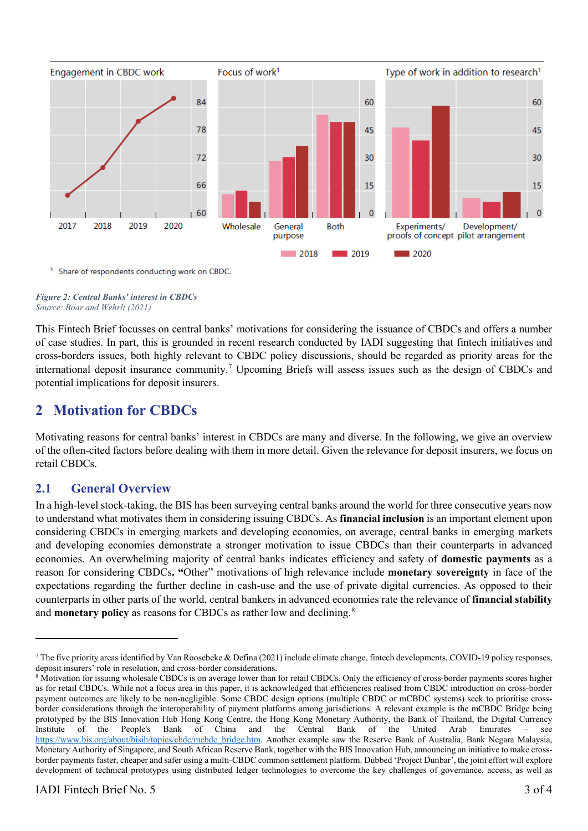

<sup>1</sup> Share of respondents conducting work on CBDC.

#### *Figure 2: Central Banks' interest in CBDCs Source: Boar and Wehrli (2021)*

This Fintech Brief focusses on central banks' motivations for considering the issuance of CBDCs and offers a number of case studies. In part, this is grounded in recent research conducted by IADI suggesting that fintech initiatives and cross-borders issues, both highly relevant to CBDC policy discussions, should be regarded as priority areas for the international deposit insurance community.<sup>[7](#page-4-0)</sup> Upcoming Briefs will assess issues such as the design of CBDCs and potential implications for deposit insurers.

## **2 Motivation for CBDCs**

Motivating reasons for central banks' interest in CBDCs are many and diverse. In the following, we give an overview of the often-cited factors before dealing with them in more detail. Given the relevance for deposit insurers, we focus on retail CBDCs.

## **2.1 General Overview**

In a high-level stock-taking, the BIS has been surveying central banks around the world for three consecutive years now to understand what motivates them in considering issuing CBDCs. As **financial inclusion** is an important element upon considering CBDCs in emerging markets and developing economies, on average, central banks in emerging markets and developing economies demonstrate a stronger motivation to issue CBDCs than their counterparts in advanced economies. An overwhelming majority of central banks indicates efficiency and safety of **domestic payments** as a reason for considering CBDCs**. "**Other" motivations of high relevance include **monetary sovereignty** in face of the expectations regarding the further decline in cash-use and the use of private digital currencies. As opposed to their counterparts in other parts of the world, central bankers in advanced economies rate the relevance of **financial stability** and **monetary policy** as reasons for CBDCs as rather low and declining.<sup>[8](#page-4-1)</sup>

<span id="page-4-0"></span><sup>&</sup>lt;sup>7</sup> The five priority areas identified by Van Roosebeke & Defina (2021) include climate change, fintech developments, COVID-19 policy responses, deposit insurers' role in resolution, and cross-border considerations.

<span id="page-4-1"></span><sup>&</sup>lt;sup>8</sup> Motivation for issuing wholesale CBDCs is on average lower than for retail CBDCs. Only the efficiency of cross-border payments scores higher as for retail CBDCs. While not a focus area in this paper, it is acknowledged that efficiencies realised from CBDC introduction on cross-border payment outcomes are likely to be non-negligible. Some CBDC design options (multiple CBDC or mCBDC systems) seek to prioritise crossborder considerations through the interoperability of payment platforms among jurisdictions. A relevant example is the mCBDC Bridge being prototyped by the BIS Innovation Hub Hong Kong Centre, the Hong Kong Monetary Authority, the Bank of Thailand, the Digital Currency Institute of the People's Bank of China and the Central Bank of the United Arab Emirates – see [https://www.bis.org/about/bisih/topics/cbdc/mcbdc\\_bridge.htm.](https://www.bis.org/about/bisih/topics/cbdc/mcbdc_bridge.htm) Another example saw the Reserve Bank of Australia, Bank Negara Malaysia, Monetary Authority of Singapore, and South African Reserve Bank, together with the BIS Innovation Hub, announcing an initiative to make crossborder payments faster, cheaper and safer using a multi-CBDC common settlement platform. Dubbed 'Project Dunbar', the joint effort will explore development of technical prototypes using distributed ledger technologies to overcome the key challenges of governance, access, as well as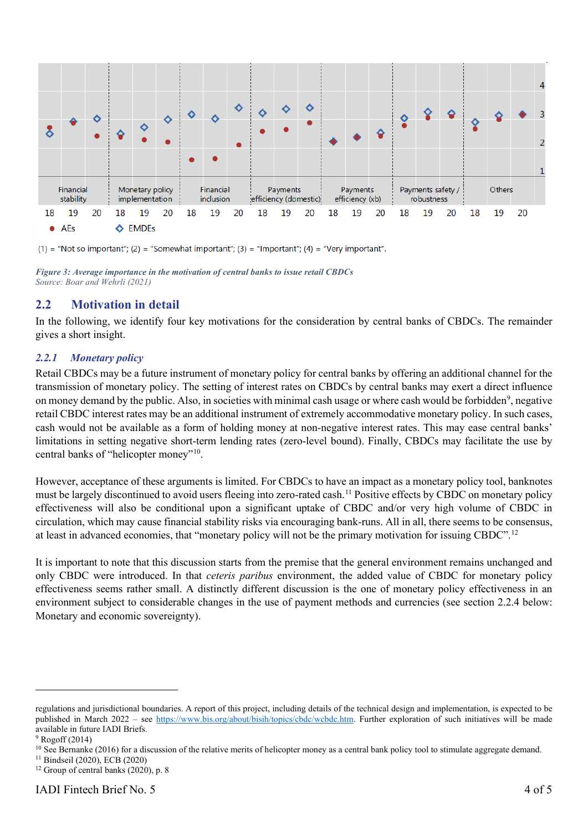

(1) = "Not so important"; (2) = "Somewhat important"; (3) = "Important"; (4) = "Very important".

## **2.2 Motivation in detail**

In the following, we identify four key motivations for the consideration by central banks of CBDCs. The remainder gives a short insight.

## *2.2.1 Monetary policy*

Retail CBDCs may be a future instrument of monetary policy for central banks by offering an additional channel for the transmission of monetary policy. The setting of interest rates on CBDCs by central banks may exert a direct influence on money demand by the public. Also, in societies with minimal cash usage or where cash would be forbidden<sup>9</sup>, negative retail CBDC interest rates may be an additional instrument of extremely accommodative monetary policy. In such cases, cash would not be available as a form of holding money at non-negative interest rates. This may ease central banks' limitations in setting negative short-term lending rates (zero-level bound). Finally, CBDCs may facilitate the use by central banks of "helicopter money"<sup>10</sup>.

However, acceptance of these arguments is limited. For CBDCs to have an impact as a monetary policy tool, banknotes must be largely discontinued to avoid users fleeing into zero-rated cash. [11](#page-5-2) Positive effects by CBDC on monetary policy effectiveness will also be conditional upon a significant uptake of CBDC and/or very high volume of CBDC in circulation, which may cause financial stability risks via encouraging bank-runs. All in all, there seems to be consensus, at least in advanced economies, that "monetary policy will not be the primary motivation for issuing CBDC".[12](#page-5-3)

It is important to note that this discussion starts from the premise that the general environment remains unchanged and only CBDC were introduced. In that *ceteris paribus* environment, the added value of CBDC for monetary policy effectiveness seems rather small. A distinctly different discussion is the one of monetary policy effectiveness in an environment subject to considerable changes in the use of payment methods and currencies (see section [2.2.4](#page-9-0) below: Monetary and economic sovereignty).

*Figure 3: Average importance in the motivation of central banks to issue retail CBDCs Source: Boar and Wehrli (2021)*

regulations and jurisdictional boundaries. A report of this project, including details of the technical design and implementation, is expected to be published in March 2022 – see [https://www.bis.org/about/bisih/topics/cbdc/wcbdc.htm.](https://www.bis.org/about/bisih/topics/cbdc/wcbdc.htm) Further exploration of such initiatives will be made available in future IADI Briefs.

<span id="page-5-0"></span><sup>9</sup> Rogoff (2014)

<span id="page-5-1"></span><sup>&</sup>lt;sup>10</sup> See Bernanke (2016) for a discussion of the relative merits of helicopter money as a central bank policy tool to stimulate aggregate demand.

<span id="page-5-2"></span><sup>11</sup> Bindseil (2020), ECB (2020)  $12$  Group of central banks (2020), p. 8

<span id="page-5-3"></span>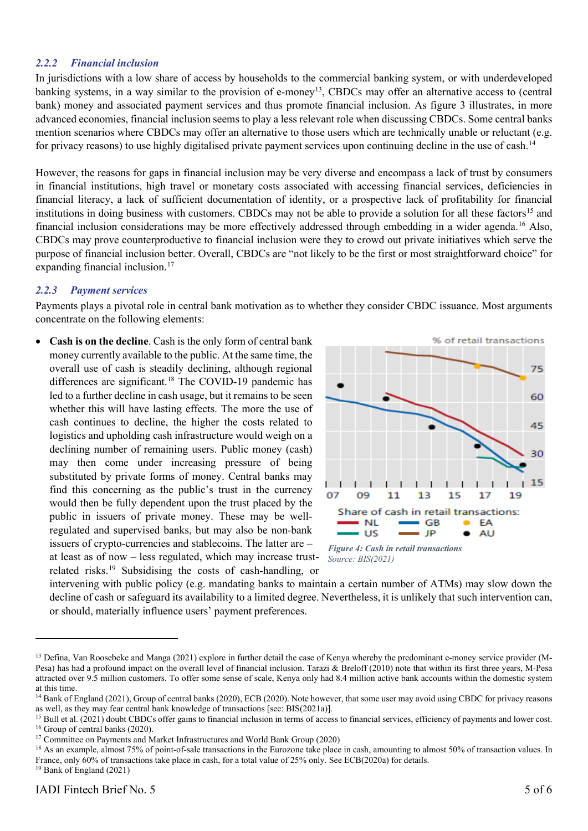## *2.2.2 Financial inclusion*

In jurisdictions with a low share of access by households to the commercial banking system, or with underdeveloped banking systems, in a way similar to the provision of e-money<sup>[13](#page-6-0)</sup>, CBDCs may offer an alternative access to (central bank) money and associated payment services and thus promote financial inclusion. As figure 3 illustrates, in more advanced economies, financial inclusion seems to play a less relevant role when discussing CBDCs. Some central banks mention scenarios where CBDCs may offer an alternative to those users which are technically unable or reluctant (e.g. for privacy reasons) to use highly digitalised private payment services upon continuing decline in the use of cash.<sup>[14](#page-6-1)</sup>

However, the reasons for gaps in financial inclusion may be very diverse and encompass a lack of trust by consumers in financial institutions, high travel or monetary costs associated with accessing financial services, deficiencies in financial literacy, a lack of sufficient documentation of identity, or a prospective lack of profitability for financial institutions in doing business with customers. CBDCs may not be able to provide a solution for all these factors<sup>15</sup> and financial inclusion considerations may be more effectively addressed through embedding in a wider agenda.[16](#page-6-3) Also, CBDCs may prove counterproductive to financial inclusion were they to crowd out private initiatives which serve the purpose of financial inclusion better. Overall, CBDCs are "not likely to be the first or most straightforward choice" for expanding financial inclusion.<sup>[17](#page-6-4)</sup>

#### *2.2.3 Payment services*

Payments plays a pivotal role in central bank motivation as to whether they consider CBDC issuance. Most arguments concentrate on the following elements:

• **Cash is on the decline**. Cash is the only form of central bank money currently available to the public. At the same time, the overall use of cash is steadily declining, although regional differences are significant.<sup>[18](#page-6-5)</sup> The COVID-19 pandemic has led to a further decline in cash usage, but it remains to be seen whether this will have lasting effects. The more the use of cash continues to decline, the higher the costs related to logistics and upholding cash infrastructure would weigh on a declining number of remaining users. Public money (cash) may then come under increasing pressure of being substituted by private forms of money. Central banks may find this concerning as the public's trust in the currency would then be fully dependent upon the trust placed by the public in issuers of private money. These may be wellregulated and supervised banks, but may also be non-bank issuers of crypto-currencies and stablecoins. The latter are – at least as of now – less regulated, which may increase trustrelated risks.[19](#page-6-6) Subsidising the costs of cash-handling, or



*Source: BIS(2021)*

intervening with public policy (e.g. mandating banks to maintain a certain number of ATMs) may slow down the decline of cash or safeguard its availability to a limited degree. Nevertheless, it is unlikely that such intervention can, or should, materially influence users' payment preferences.

<span id="page-6-0"></span><sup>&</sup>lt;sup>13</sup> Defina, Van Roosebeke and Manga (2021) explore in further detail the case of Kenya whereby the predominant e-money service provider (M-Pesa) has had a profound impact on the overall level of financial inclusion. Tarazi & Breloff (2010) note that within its first three years, M-Pesa attracted over 9.5 million customers. To offer some sense of scale, Kenya only had 8.4 million active bank accounts within the domestic system at this time.

<span id="page-6-1"></span><sup>&</sup>lt;sup>14</sup> Bank of England (2021), Group of central banks (2020), ECB (2020). Note however, that some user may avoid using CBDC for privacy reasons as well, as they may fear central bank knowledge of transactions [see: BIS(2021a)].

<span id="page-6-2"></span><sup>&</sup>lt;sup>15</sup> Bull et al. (2021) doubt CBDCs offer gains to financial inclusion in terms of access to financial services, efficiency of payments and lower cost. <sup>16</sup> Group of central banks (2020).

<span id="page-6-4"></span><span id="page-6-3"></span><sup>&</sup>lt;sup>17</sup> Committee on Payments and Market Infrastructures and World Bank Group (2020)

<span id="page-6-5"></span><sup>&</sup>lt;sup>18</sup> As an example, almost 75% of point-of-sale transactions in the Eurozone take place in cash, amounting to almost 50% of transaction values. In France, only 60% of transactions take place in cash, for a total value of 25% only. See ECB(2020a) for details.

<span id="page-6-6"></span><sup>19</sup> Bank of England (2021)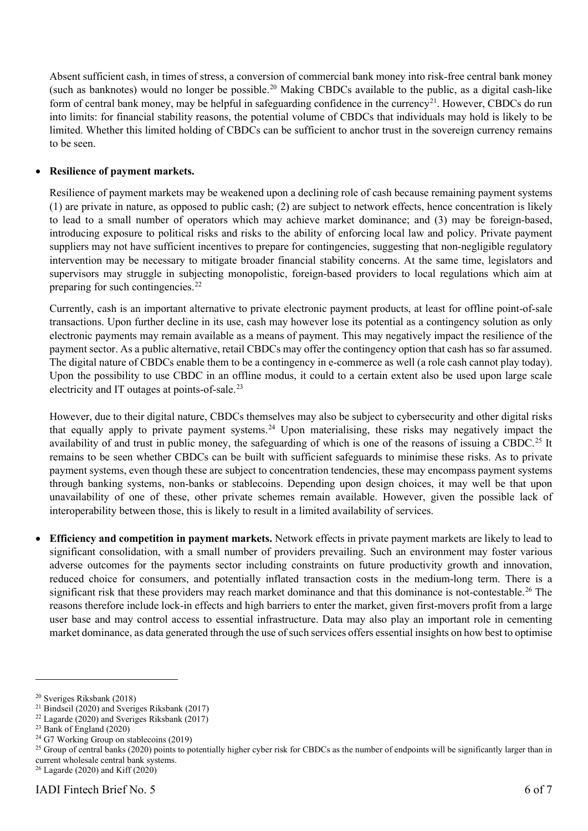Absent sufficient cash, in times of stress, a conversion of commercial bank money into risk-free central bank money (such as banknotes) would no longer be possible[.20](#page-7-0) Making CBDCs available to the public, as a digital cash-like form of central bank money, may be helpful in safeguarding confidence in the currency<sup>21</sup>. However, CBDCs do run into limits: for financial stability reasons, the potential volume of CBDCs that individuals may hold is likely to be limited. Whether this limited holding of CBDCs can be sufficient to anchor trust in the sovereign currency remains to be seen.

## • **Resilience of payment markets.**

Resilience of payment markets may be weakened upon a declining role of cash because remaining payment systems (1) are private in nature, as opposed to public cash; (2) are subject to network effects, hence concentration is likely to lead to a small number of operators which may achieve market dominance; and (3) may be foreign-based, introducing exposure to political risks and risks to the ability of enforcing local law and policy. Private payment suppliers may not have sufficient incentives to prepare for contingencies, suggesting that non-negligible regulatory intervention may be necessary to mitigate broader financial stability concerns. At the same time, legislators and supervisors may struggle in subjecting monopolistic, foreign-based providers to local regulations which aim at preparing for such contingencies.<sup>[22](#page-7-2)</sup>

Currently, cash is an important alternative to private electronic payment products, at least for offline point-of-sale transactions. Upon further decline in its use, cash may however lose its potential as a contingency solution as only electronic payments may remain available as a means of payment. This may negatively impact the resilience of the payment sector. As a public alternative, retail CBDCs may offer the contingency option that cash has so far assumed. The digital nature of CBDCs enable them to be a contingency in e-commerce as well (a role cash cannot play today). Upon the possibility to use CBDC in an offline modus, it could to a certain extent also be used upon large scale electricity and IT outages at points-of-sale[.23](#page-7-3)

However, due to their digital nature, CBDCs themselves may also be subject to cybersecurity and other digital risks that equally apply to private payment systems. [24](#page-7-4) Upon materialising, these risks may negatively impact the availability of and trust in public money, the safeguarding of which is one of the reasons of issuing a CBDC.<sup>[25](#page-7-5)</sup> It remains to be seen whether CBDCs can be built with sufficient safeguards to minimise these risks. As to private payment systems, even though these are subject to concentration tendencies, these may encompass payment systems through banking systems, non-banks or stablecoins. Depending upon design choices, it may well be that upon unavailability of one of these, other private schemes remain available. However, given the possible lack of interoperability between those, this is likely to result in a limited availability of services.

• **Efficiency and competition in payment markets.** Network effects in private payment markets are likely to lead to significant consolidation, with a small number of providers prevailing. Such an environment may foster various adverse outcomes for the payments sector including constraints on future productivity growth and innovation, reduced choice for consumers, and potentially inflated transaction costs in the medium-long term. There is a significant risk that these providers may reach market dominance and that this dominance is not-contestable.<sup>[26](#page-7-6)</sup> The reasons therefore include lock-in effects and high barriers to enter the market, given first-movers profit from a large user base and may control access to essential infrastructure. Data may also play an important role in cementing market dominance, as data generated through the use of such services offers essential insights on how best to optimise

<span id="page-7-0"></span><sup>20</sup> Sveriges Riksbank (2018)

<span id="page-7-1"></span><sup>21</sup> Bindseil (2020) and Sveriges Riksbank (2017)

<span id="page-7-2"></span> $22$  Lagarde (2020) and Sveriges Riksbank (2017)

<span id="page-7-3"></span><sup>23</sup> Bank of England (2020)

<span id="page-7-4"></span> $24$  G7 Working Group on stablecoins (2019)

<span id="page-7-5"></span><sup>&</sup>lt;sup>25</sup> Group of central banks (2020) points to potentially higher cyber risk for CBDCs as the number of endpoints will be significantly larger than in current wholesale central bank systems.

<span id="page-7-6"></span><sup>26</sup> Lagarde (2020) and Kiff (2020)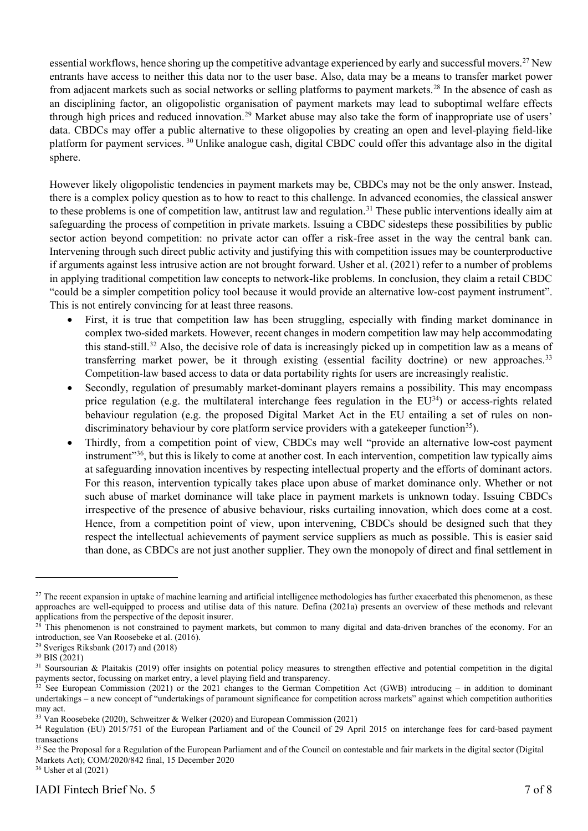essential workflows, hence shoring up the competitive advantage experienced by early and successful movers.<sup>[27](#page-8-0)</sup> New entrants have access to neither this data nor to the user base. Also, data may be a means to transfer market power from adjacent markets such as social networks or selling platforms to payment markets.[28](#page-8-1) In the absence of cash as an disciplining factor, an oligopolistic organisation of payment markets may lead to suboptimal welfare effects through high prices and reduced innovation.<sup>[29](#page-8-2)</sup> Market abuse may also take the form of inappropriate use of users' data. CBDCs may offer a public alternative to these oligopolies by creating an open and level-playing field-like platform for payment services. [30](#page-8-3) Unlike analogue cash, digital CBDC could offer this advantage also in the digital sphere.

However likely oligopolistic tendencies in payment markets may be, CBDCs may not be the only answer. Instead, there is a complex policy question as to how to react to this challenge. In advanced economies, the classical answer to these problems is one of competition law, antitrust law and regulation.<sup>[31](#page-8-4)</sup> These public interventions ideally aim at safeguarding the process of competition in private markets. Issuing a CBDC sidesteps these possibilities by public sector action beyond competition: no private actor can offer a risk-free asset in the way the central bank can. Intervening through such direct public activity and justifying this with competition issues may be counterproductive if arguments against less intrusive action are not brought forward. Usher et al. (2021) refer to a number of problems in applying traditional competition law concepts to network-like problems. In conclusion, they claim a retail CBDC "could be a simpler competition policy tool because it would provide an alternative low-cost payment instrument". This is not entirely convincing for at least three reasons.

- First, it is true that competition law has been struggling, especially with finding market dominance in complex two-sided markets. However, recent changes in modern competition law may help accommodating this stand-still.[32](#page-8-5) Also, the decisive role of data is increasingly picked up in competition law as a means of transferring market power, be it through existing (essential facility doctrine) or new approaches.[33](#page-8-6) Competition-law based access to data or data portability rights for users are increasingly realistic.
- Secondly, regulation of presumably market-dominant players remains a possibility. This may encompass price regulation (e.g. the multilateral interchange fees regulation in the  $EU^{34}$ ) or access-rights related behaviour regulation (e.g. the proposed Digital Market Act in the EU entailing a set of rules on nondiscriminatory behaviour by core platform service providers with a gatekeeper function<sup>35</sup>).
- Thirdly, from a competition point of view, CBDCs may well "provide an alternative low-cost payment instrument<sup>336</sup>, but this is likely to come at another cost. In each intervention, competition law typically aims at safeguarding innovation incentives by respecting intellectual property and the efforts of dominant actors. For this reason, intervention typically takes place upon abuse of market dominance only. Whether or not such abuse of market dominance will take place in payment markets is unknown today. Issuing CBDCs irrespective of the presence of abusive behaviour, risks curtailing innovation, which does come at a cost. Hence, from a competition point of view, upon intervening, CBDCs should be designed such that they respect the intellectual achievements of payment service suppliers as much as possible. This is easier said than done, as CBDCs are not just another supplier. They own the monopoly of direct and final settlement in

<span id="page-8-0"></span> $27$  The recent expansion in uptake of machine learning and artificial intelligence methodologies has further exacerbated this phenomenon, as these approaches are well-equipped to process and utilise data of this nature. Defina (2021a) presents an overview of these methods and relevant applications from the perspective of the deposit insurer.

<span id="page-8-1"></span><sup>&</sup>lt;sup>28</sup> This phenomenon is not constrained to payment markets, but common to many digital and data-driven branches of the economy. For an introduction, see Van Roosebeke et al. (2016).

<span id="page-8-2"></span><sup>29</sup> Sveriges Riksbank (2017) and (2018)

<span id="page-8-3"></span> $30$  BIS (2021)

<span id="page-8-4"></span> $31$  Soursourian & Plaitakis (2019) offer insights on potential policy measures to strengthen effective and potential competition in the digital payments sector, focussing on market entry, a level playing field and transparency.

<span id="page-8-5"></span> $32$  See European Commission (2021) or the 2021 changes to the German Competition Act (GWB) introducing – in addition to dominant undertakings – a new concept of "undertakings of paramount significance for competition across markets" against which competition authorities may act.

<span id="page-8-6"></span><sup>33</sup> Van Roosebeke (2020), Schweitzer & Welker (2020) and European Commission (2021)

<span id="page-8-7"></span><sup>&</sup>lt;sup>34</sup> Regulation (EU) 2015/751 of the European Parliament and of the Council of 29 April 2015 on interchange fees for card-based payment transactions

<span id="page-8-8"></span><sup>&</sup>lt;sup>35</sup> See the Proposal for a Regulation of the European Parliament and of the Council on contestable and fair markets in the digital sector (Digital Markets Act); COM/2020/842 final, 15 December 2020

<span id="page-8-9"></span><sup>36</sup> Usher et al (2021)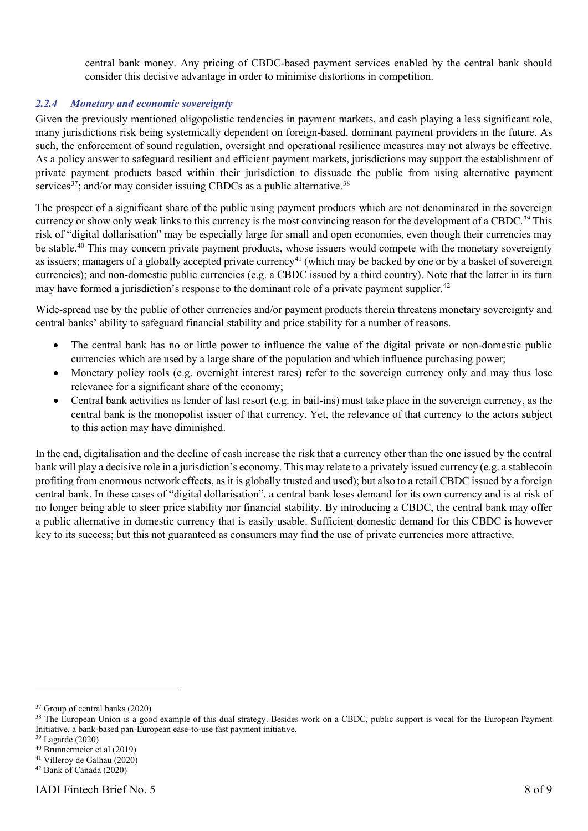central bank money. Any pricing of CBDC-based payment services enabled by the central bank should consider this decisive advantage in order to minimise distortions in competition.

## <span id="page-9-0"></span>*2.2.4 Monetary and economic sovereignty*

Given the previously mentioned oligopolistic tendencies in payment markets, and cash playing a less significant role, many jurisdictions risk being systemically dependent on foreign-based, dominant payment providers in the future. As such, the enforcement of sound regulation, oversight and operational resilience measures may not always be effective. As a policy answer to safeguard resilient and efficient payment markets, jurisdictions may support the establishment of private payment products based within their jurisdiction to dissuade the public from using alternative payment services<sup>37</sup>; and/or may consider issuing CBDCs as a public alternative.<sup>[38](#page-9-2)</sup>

The prospect of a significant share of the public using payment products which are not denominated in the sovereign currency or show only weak links to this currency is the most convincing reason for the development of a CBDC.<sup>[39](#page-9-3)</sup> This risk of "digital dollarisation" may be especially large for small and open economies, even though their currencies may be stable.<sup>40</sup> This may concern private payment products, whose issuers would compete with the monetary sovereignty as issuers; managers of a globally accepted private currency<sup>[41](#page-9-5)</sup> (which may be backed by one or by a basket of sovereign currencies); and non-domestic public currencies (e.g. a CBDC issued by a third country). Note that the latter in its turn may have formed a jurisdiction's response to the dominant role of a private payment supplier.<sup>[42](#page-9-6)</sup>

Wide-spread use by the public of other currencies and/or payment products therein threatens monetary sovereignty and central banks' ability to safeguard financial stability and price stability for a number of reasons.

- The central bank has no or little power to influence the value of the digital private or non-domestic public currencies which are used by a large share of the population and which influence purchasing power;
- Monetary policy tools (e.g. overnight interest rates) refer to the sovereign currency only and may thus lose relevance for a significant share of the economy;
- Central bank activities as lender of last resort (e.g. in bail-ins) must take place in the sovereign currency, as the central bank is the monopolist issuer of that currency. Yet, the relevance of that currency to the actors subject to this action may have diminished.

In the end, digitalisation and the decline of cash increase the risk that a currency other than the one issued by the central bank will play a decisive role in a jurisdiction's economy. This may relate to a privately issued currency (e.g. a stablecoin profiting from enormous network effects, as it is globally trusted and used); but also to a retail CBDC issued by a foreign central bank. In these cases of "digital dollarisation", a central bank loses demand for its own currency and is at risk of no longer being able to steer price stability nor financial stability. By introducing a CBDC, the central bank may offer a public alternative in domestic currency that is easily usable. Sufficient domestic demand for this CBDC is however key to its success; but this not guaranteed as consumers may find the use of private currencies more attractive.

<span id="page-9-1"></span><sup>&</sup>lt;sup>37</sup> Group of central banks (2020)

<span id="page-9-2"></span><sup>&</sup>lt;sup>38</sup> The European Union is a good example of this dual strategy. Besides work on a CBDC, public support is vocal for the European Payment Initiative, a bank-based pan-European ease-to-use fast payment initiative.

<span id="page-9-3"></span><sup>39</sup> Lagarde (2020)

<span id="page-9-4"></span><sup>40</sup> Brunnermeier et al (2019)

<span id="page-9-5"></span><sup>41</sup> Villeroy de Galhau (2020)

<span id="page-9-6"></span><sup>42</sup> Bank of Canada (2020)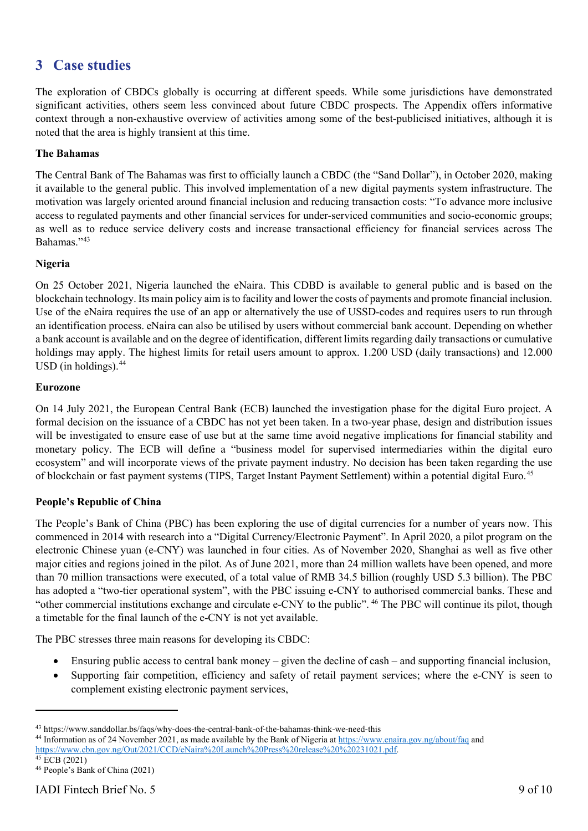## **3 Case studies**

The exploration of CBDCs globally is occurring at different speeds. While some jurisdictions have demonstrated significant activities, others seem less convinced about future CBDC prospects. The Appendix offers informative context through a non-exhaustive overview of activities among some of the best-publicised initiatives, although it is noted that the area is highly transient at this time.

## **The Bahamas**

The Central Bank of The Bahamas was first to officially launch a CBDC (the "Sand Dollar"), in October 2020, making it available to the general public. This involved implementation of a new digital payments system infrastructure. The motivation was largely oriented around financial inclusion and reducing transaction costs: "To advance more inclusive access to regulated payments and other financial services for under-serviced communities and socio-economic groups; as well as to reduce service delivery costs and increase transactional efficiency for financial services across The Bahamas.["43](#page-10-0)

## **Nigeria**

On 25 October 2021, Nigeria launched the eNaira. This CDBD is available to general public and is based on the blockchain technology. Its main policy aim is to facility and lower the costs of payments and promote financial inclusion. Use of the eNaira requires the use of an app or alternatively the use of USSD-codes and requires users to run through an identification process. eNaira can also be utilised by users without commercial bank account. Depending on whether a bank account is available and on the degree of identification, different limits regarding daily transactions or cumulative holdings may apply. The highest limits for retail users amount to approx. 1.200 USD (daily transactions) and 12.000 USD (in holdings). $44$ 

## **Eurozone**

On 14 July 2021, the European Central Bank (ECB) launched the investigation phase for the digital Euro project. A formal decision on the issuance of a CBDC has not yet been taken. In a two-year phase, design and distribution issues will be investigated to ensure ease of use but at the same time avoid negative implications for financial stability and monetary policy. The ECB will define a "business model for supervised intermediaries within the digital euro ecosystem" and will incorporate views of the private payment industry. No decision has been taken regarding the use of blockchain or fast payment systems (TIPS, Target Instant Payment Settlement) within a potential digital Euro. [45](#page-10-2)

## **People's Republic of China**

The People's Bank of China (PBC) has been exploring the use of digital currencies for a number of years now. This commenced in 2014 with research into a "Digital Currency/Electronic Payment". In April 2020, a pilot program on the electronic Chinese yuan (e-CNY) was launched in four cities. As of November 2020, Shanghai as well as five other major cities and regions joined in the pilot. As of June 2021, more than 24 million wallets have been opened, and more than 70 million transactions were executed, of a total value of RMB 34.5 billion (roughly USD 5.3 billion). The PBC has adopted a "two-tier operational system", with the PBC issuing e-CNY to authorised commercial banks. These and "other commercial institutions exchange and circulate e-CNY to the public". [46](#page-10-3) The PBC will continue its pilot, though a timetable for the final launch of the e-CNY is not yet available.

The PBC stresses three main reasons for developing its CBDC:

- Ensuring public access to central bank money given the decline of cash and supporting financial inclusion,
- Supporting fair competition, efficiency and safety of retail payment services; where the e-CNY is seen to complement existing electronic payment services,

<span id="page-10-0"></span><sup>43</sup> https://www.sanddollar.bs/faqs/why-does-the-central-bank-of-the-bahamas-think-we-need-this

<span id="page-10-1"></span><sup>44</sup> Information as of 24 November 2021, as made available by the Bank of Nigeria a[t https://www.enaira.gov.ng/about/faq](https://www.enaira.gov.ng/about/faq) and [https://www.cbn.gov.ng/Out/2021/CCD/eNaira%20Launch%20Press%20release%20%20231021.pdf.](https://www.cbn.gov.ng/Out/2021/CCD/eNaira%20Launch%20Press%20release%20%20231021.pdf) <sup>45</sup> ECB (2021)

<span id="page-10-3"></span><span id="page-10-2"></span><sup>46</sup> People's Bank of China (2021)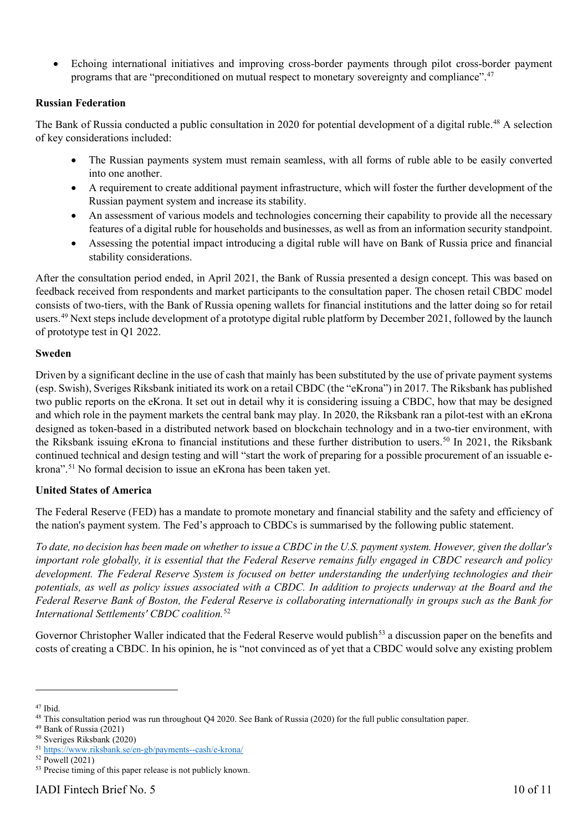• Echoing international initiatives and improving cross-border payments through pilot cross-border payment programs that are "preconditioned on mutual respect to monetary sovereignty and compliance".<sup>[47](#page-11-0)</sup>

## **Russian Federation**

The Bank of Russia conducted a public consultation in 2020 for potential development of a digital ruble.<sup>[48](#page-11-1)</sup> A selection of key considerations included:

- The Russian payments system must remain seamless, with all forms of ruble able to be easily converted into one another.
- A requirement to create additional payment infrastructure, which will foster the further development of the Russian payment system and increase its stability.
- An assessment of various models and technologies concerning their capability to provide all the necessary features of a digital ruble for households and businesses, as well as from an information security standpoint.
- Assessing the potential impact introducing a digital ruble will have on Bank of Russia price and financial stability considerations.

After the consultation period ended, in April 2021, the Bank of Russia presented a design concept. This was based on feedback received from respondents and market participants to the consultation paper. The chosen retail CBDC model consists of two-tiers, with the Bank of Russia opening wallets for financial institutions and the latter doing so for retail users.<sup>[49](#page-11-2)</sup> Next steps include development of a prototype digital ruble platform by December 2021, followed by the launch of prototype test in Q1 2022.

## **Sweden**

Driven by a significant decline in the use of cash that mainly has been substituted by the use of private payment systems (esp. Swish), Sveriges Riksbank initiated its work on a retail CBDC (the "eKrona") in 2017. The Riksbank has published two public reports on the eKrona. It set out in detail why it is considering issuing a CBDC, how that may be designed and which role in the payment markets the central bank may play. In 2020, the Riksbank ran a pilot-test with an eKrona designed as token-based in a distributed network based on blockchain technology and in a two-tier environment, with the Riksbank issuing eKrona to financial institutions and these further distribution to users.<sup>[50](#page-11-3)</sup> In 2021, the Riksbank continued technical and design testing and will "start the work of preparing for a possible procurement of an issuable ekrona".[51](#page-11-4) No formal decision to issue an eKrona has been taken yet.

## **United States of America**

The Federal Reserve (FED) has a mandate to promote monetary and financial stability and the safety and efficiency of the nation's payment system. The Fed's approach to CBDCs is summarised by the following public statement.

*To date, no decision has been made on whether to issue a CBDC in the U.S. payment system. However, given the dollar's important role globally, it is essential that the Federal Reserve remains fully engaged in CBDC research and policy development. The Federal Reserve System is focused on better understanding the underlying technologies and their potentials, as well as policy issues associated with a CBDC. In addition to projects underway at the Board and the Federal Reserve Bank of Boston, the Federal Reserve is collaborating internationally in groups such as the Bank for International Settlements' CBDC coalition.*[52](#page-11-5)

Governor Christopher Waller indicated that the Federal Reserve would publish<sup>[53](#page-11-6)</sup> a discussion paper on the benefits and costs of creating a CBDC. In his opinion, he is "not convinced as of yet that a CBDC would solve any existing problem

<span id="page-11-0"></span><sup>47</sup> Ibid.

<span id="page-11-1"></span><sup>&</sup>lt;sup>48</sup> This consultation period was run throughout Q4 2020. See Bank of Russia (2020) for the full public consultation paper.

<span id="page-11-2"></span><sup>49</sup> Bank of Russia (2021)

<span id="page-11-3"></span><sup>50</sup> Sveriges Riksbank (2020)

<span id="page-11-4"></span><sup>51</sup> <https://www.riksbank.se/en-gb/payments--cash/e-krona/>

<span id="page-11-5"></span> $52$  Powell (2021)

<span id="page-11-6"></span><sup>&</sup>lt;sup>53</sup> Precise timing of this paper release is not publicly known.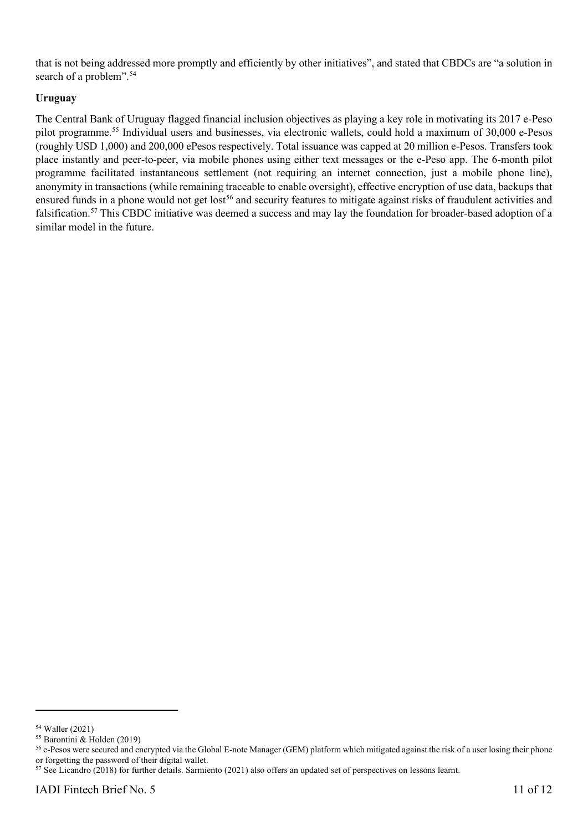that is not being addressed more promptly and efficiently by other initiatives", and stated that CBDCs are "a solution in search of a problem".<sup>[54](#page-12-0)</sup>

## **Uruguay**

The Central Bank of Uruguay flagged financial inclusion objectives as playing a key role in motivating its 2017 e-Peso pilot programme.[55](#page-12-1) Individual users and businesses, via electronic wallets, could hold a maximum of 30,000 e-Pesos (roughly USD 1,000) and 200,000 ePesos respectively. Total issuance was capped at 20 million e-Pesos. Transfers took place instantly and peer-to-peer, via mobile phones using either text messages or the e-Peso app. The 6-month pilot programme facilitated instantaneous settlement (not requiring an internet connection, just a mobile phone line), anonymity in transactions (while remaining traceable to enable oversight), effective encryption of use data, backups that ensured funds in a phone would not get lost<sup>[56](#page-12-2)</sup> and security features to mitigate against risks of fraudulent activities and falsification.[57](#page-12-3) This CBDC initiative was deemed a success and may lay the foundation for broader-based adoption of a similar model in the future.

<span id="page-12-0"></span><sup>54</sup> Waller (2021)

<span id="page-12-1"></span><sup>55</sup> Barontini & Holden (2019)

<span id="page-12-2"></span><sup>&</sup>lt;sup>56</sup> e-Pesos were secured and encrypted via the Global E-note Manager (GEM) platform which mitigated against the risk of a user losing their phone or forgetting the password of their digital wallet.

<span id="page-12-3"></span><sup>57</sup> See Licandro (2018) for further details. Sarmiento (2021) also offers an updated set of perspectives on lessons learnt.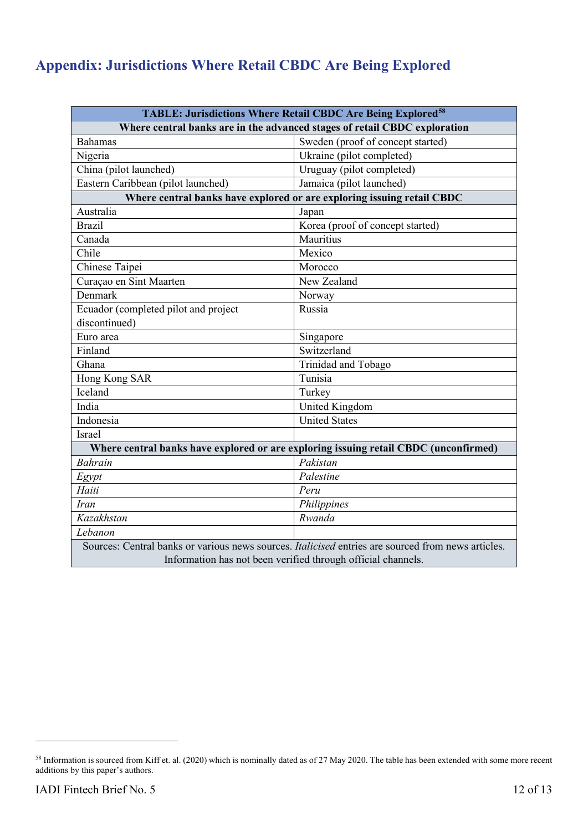# **Appendix: Jurisdictions Where Retail CBDC Are Being Explored**

| <b>TABLE: Jurisdictions Where Retail CBDC Are Being Explored<sup>58</sup></b>                      |                                   |  |
|----------------------------------------------------------------------------------------------------|-----------------------------------|--|
| Where central banks are in the advanced stages of retail CBDC exploration                          |                                   |  |
| <b>Bahamas</b>                                                                                     | Sweden (proof of concept started) |  |
| Nigeria                                                                                            | Ukraine (pilot completed)         |  |
| China (pilot launched)                                                                             | Uruguay (pilot completed)         |  |
| Eastern Caribbean (pilot launched)                                                                 | Jamaica (pilot launched)          |  |
| Where central banks have explored or are exploring issuing retail CBDC                             |                                   |  |
| Australia                                                                                          | Japan                             |  |
| <b>Brazil</b>                                                                                      | Korea (proof of concept started)  |  |
| Canada                                                                                             | Mauritius                         |  |
| Chile                                                                                              | Mexico                            |  |
| Chinese Taipei                                                                                     | Morocco                           |  |
| Curaçao en Sint Maarten                                                                            | New Zealand                       |  |
| Denmark                                                                                            | Norway                            |  |
| Ecuador (completed pilot and project                                                               | Russia                            |  |
| discontinued)                                                                                      |                                   |  |
| Euro area                                                                                          | Singapore                         |  |
| Finland                                                                                            | Switzerland                       |  |
| Ghana                                                                                              | Trinidad and Tobago               |  |
| Hong Kong SAR                                                                                      | Tunisia                           |  |
| Iceland                                                                                            | Turkey                            |  |
| India                                                                                              | United Kingdom                    |  |
| Indonesia                                                                                          | <b>United States</b>              |  |
| Israel                                                                                             |                                   |  |
| Where central banks have explored or are exploring issuing retail CBDC (unconfirmed)               |                                   |  |
| <b>Bahrain</b>                                                                                     | Pakistan                          |  |
| Egypt                                                                                              | Palestine                         |  |
| Haiti                                                                                              | Peru                              |  |
| Iran                                                                                               | Philippines                       |  |
| Kazakhstan                                                                                         | Rwanda                            |  |
| Lebanon                                                                                            |                                   |  |
| Sources: Central banks or various news sources. Italicised entries are sourced from news articles. |                                   |  |
| Information has not been verified through official channels.                                       |                                   |  |

<span id="page-13-0"></span><sup>58</sup> Information is sourced from Kiff et. al. (2020) which is nominally dated as of 27 May 2020. The table has been extended with some more recent additions by this paper's authors.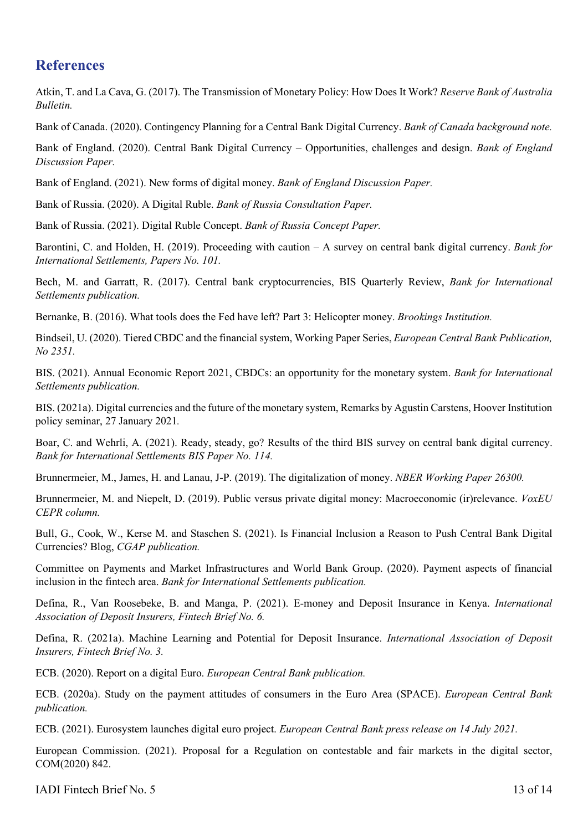## **References**

Atkin, T. and La Cava, G. (2017). The Transmission of Monetary Policy: How Does It Work? *Reserve Bank of Australia Bulletin.*

Bank of Canada. (2020). Contingency Planning for a Central Bank Digital Currency. *Bank of Canada background note.*

Bank of England. (2020). Central Bank Digital Currency – Opportunities, challenges and design. *Bank of England Discussion Paper.*

Bank of England. (2021). New forms of digital money. *Bank of England Discussion Paper.*

Bank of Russia. (2020). A Digital Ruble. *Bank of Russia Consultation Paper.*

Bank of Russia. (2021). Digital Ruble Concept. *Bank of Russia Concept Paper.*

Barontini, C. and Holden, H. (2019). Proceeding with caution – A survey on central bank digital currency. *Bank for International Settlements, Papers No. 101.*

Bech, M. and Garratt, R. (2017). Central bank cryptocurrencies, BIS Quarterly Review, *Bank for International Settlements publication.*

Bernanke, B. (2016). What tools does the Fed have left? Part 3: Helicopter money. *Brookings Institution.*

Bindseil, U. (2020). Tiered CBDC and the financial system, Working Paper Series, *European Central Bank Publication, No 2351.*

BIS. (2021). Annual Economic Report 2021, CBDCs: an opportunity for the monetary system. *Bank for International Settlements publication.*

BIS. (2021a). Digital currencies and the future of the monetary system, Remarks by Agustin Carstens, Hoover Institution policy seminar, 27 January 2021*.*

Boar, C. and Wehrli, A. (2021). Ready, steady, go? Results of the third BIS survey on central bank digital currency. *Bank for International Settlements BIS Paper No. 114.*

Brunnermeier, M., James, H. and Lanau, J-P. (2019). The digitalization of money. *NBER Working Paper 26300.*

Brunnermeier, M. and Niepelt, D. (2019). Public versus private digital money: Macroeconomic (ir)relevance. *VoxEU CEPR column.*

Bull, G., Cook, W., Kerse M. and Staschen S. (2021). Is Financial Inclusion a Reason to Push Central Bank Digital Currencies? Blog, *CGAP publication.*

Committee on Payments and Market Infrastructures and World Bank Group. (2020). Payment aspects of financial inclusion in the fintech area. *Bank for International Settlements publication.*

Defina, R., Van Roosebeke, B. and Manga, P. (2021). E-money and Deposit Insurance in Kenya. *International Association of Deposit Insurers, Fintech Brief No. 6.*

Defina, R. (2021a). Machine Learning and Potential for Deposit Insurance. *International Association of Deposit Insurers, Fintech Brief No. 3.*

ECB. (2020). Report on a digital Euro. *European Central Bank publication.*

ECB. (2020a). Study on the payment attitudes of consumers in the Euro Area (SPACE). *European Central Bank publication.*

ECB. (2021). Eurosystem launches digital euro project. *European Central Bank press release on 14 July 2021.*

European Commission. (2021). Proposal for a Regulation on contestable and fair markets in the digital sector, COM(2020) 842.

IADI Fintech Brief No. 5 13 of 14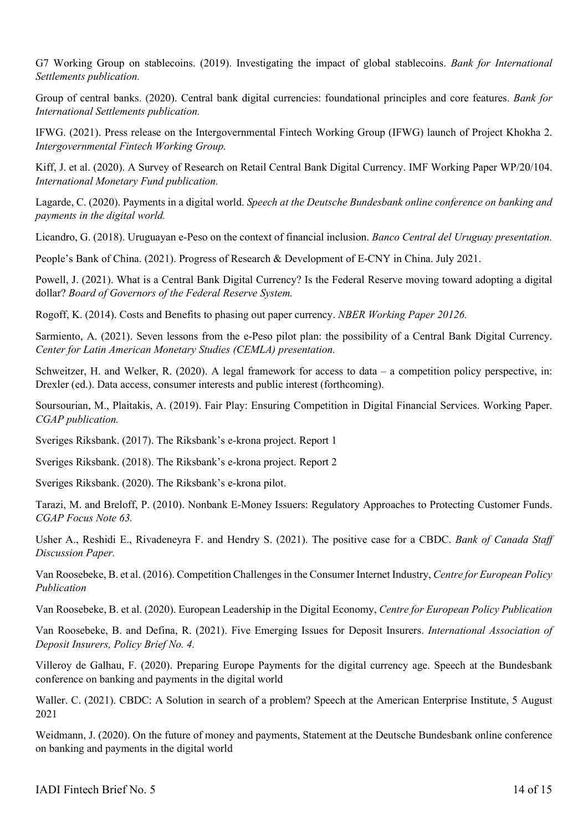G7 Working Group on stablecoins. (2019). Investigating the impact of global stablecoins. *Bank for International Settlements publication.*

Group of central banks. (2020). Central bank digital currencies: foundational principles and core features. *Bank for International Settlements publication.*

IFWG. (2021). Press release on the Intergovernmental Fintech Working Group (IFWG) launch of Project Khokha 2. *Intergovernmental Fintech Working Group.*

Kiff, J. et al. (2020). A Survey of Research on Retail Central Bank Digital Currency. IMF Working Paper WP/20/104. *International Monetary Fund publication.*

Lagarde, C. (2020). Payments in a digital world. *Speech at the Deutsche Bundesbank online conference on banking and payments in the digital world.*

Licandro, G. (2018). Uruguayan e-Peso on the context of financial inclusion. *Banco Central del Uruguay presentation.*

People's Bank of China. (2021). Progress of Research & Development of E-CNY in China. July 2021.

Powell, J. (2021). What is a Central Bank Digital Currency? Is the Federal Reserve moving toward adopting a digital dollar? *Board of Governors of the Federal Reserve System.*

Rogoff, K. (2014). Costs and Benefits to phasing out paper currency. *NBER Working Paper 20126.*

Sarmiento, A. (2021). Seven lessons from the e-Peso pilot plan: the possibility of a Central Bank Digital Currency. *Center for Latin American Monetary Studies (CEMLA) presentation.*

Schweitzer, H. and Welker, R. (2020). A legal framework for access to data – a competition policy perspective, in: Drexler (ed.). Data access, consumer interests and public interest (forthcoming).

Soursourian, M., Plaitakis, A. (2019). Fair Play: Ensuring Competition in Digital Financial Services. Working Paper. *CGAP publication.*

Sveriges Riksbank. (2017). The Riksbank's e-krona project. Report 1

Sveriges Riksbank. (2018). The Riksbank's e-krona project. Report 2

Sveriges Riksbank. (2020). The Riksbank's e-krona pilot.

Tarazi, M. and Breloff, P. (2010). Nonbank E-Money Issuers: Regulatory Approaches to Protecting Customer Funds. *CGAP Focus Note 63.*

Usher A., Reshidi E., Rivadeneyra F. and Hendry S. (2021). The positive case for a CBDC. *Bank of Canada Staff Discussion Paper.*

Van Roosebeke, B. et al. (2016). Competition Challenges in the Consumer Internet Industry, *Centre for European Policy Publication*

Van Roosebeke, B. et al. (2020). European Leadership in the Digital Economy, *Centre for European Policy Publication*

Van Roosebeke, B. and Defina, R. (2021). Five Emerging Issues for Deposit Insurers. *International Association of Deposit Insurers, Policy Brief No. 4.*

Villeroy de Galhau, F. (2020). Preparing Europe Payments for the digital currency age. Speech at the Bundesbank conference on banking and payments in the digital world

Waller. C. (2021). CBDC: A Solution in search of a problem? Speech at the American Enterprise Institute, 5 August 2021

Weidmann, J. (2020). On the future of money and payments, Statement at the Deutsche Bundesbank online conference on banking and payments in the digital world